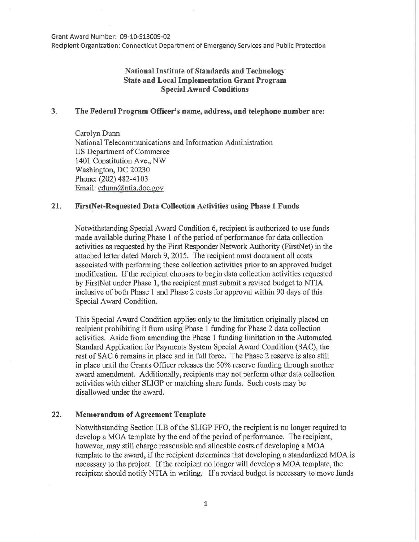Grant Award Number: 09-10-513009-02

Recipient Organization: Connecticut Department of Emergency Services and Public Protection

# National Institute of Standards and Technology State and Local Implementation Grant Program Special Award Conditions

## 3. The Federal Program Officer's name, address, and telephone number are:

Carolyn Dunn National Telecommunications and Information Administration US Department of Commerce 1401 Constitution Ave., NW Washington, DC 20230 Phone: (202) 482-4103 Email: cdunn@ntia.doc.gov

## 21. FirstNet-Requested Data Collection Activities using Phase 1 Funds

Notwithstanding Special Award Condition 6, recipient is authorized to use funds made available during Phase 1 of the period of performance for data collection activities as requested by the First Responder Network Authority (FirstNet) in the attached letter dated March 9, 2015. The recipient must document all costs associated with performing these collection activities prior to an approved budget modification. If the recipient chooses to begin data collection activities requested by FirstNet under Phase 1, the recipient must submit a revised budget to NTIA inclusive of both Phase 1 and Phase 2 costs for approval within 90 days of this Special Award Condition.

This Special Award Condition applies only to the limitation originally placed on recipient prohibiting it from using Phase 1 funding for Phase 2 data collection activities. Aside from amending the Phase 1 funding limitation in the Automated Standard Application for Payments System Special Award Condition (SAC), the rest of SAC 6 remains in place and in full force. The Phase 2 reserve is also still in place until the Grants Officer releases the 50% reserve funding through another award amendment. Additionally, recipients may not perform other data collection activities with either SLIGP or matching share funds. Such costs may be disallowed under the award.

#### 22. Memorandum of Agreement Template

Notwithstanding Section II.B of the SLIGP FFO, the recipient is no longer required to develop a MOA template by the end of the period of performance. The recipient, however, may still charge reasonable and allocable costs of developing a MOA template to the award, if the recipient determines that developing a standardized MOA is necessary to the project. If the recipient no longer will develop a MOA template, the recipient should notify NTIA in writing. If a revised budget is necessary to move funds